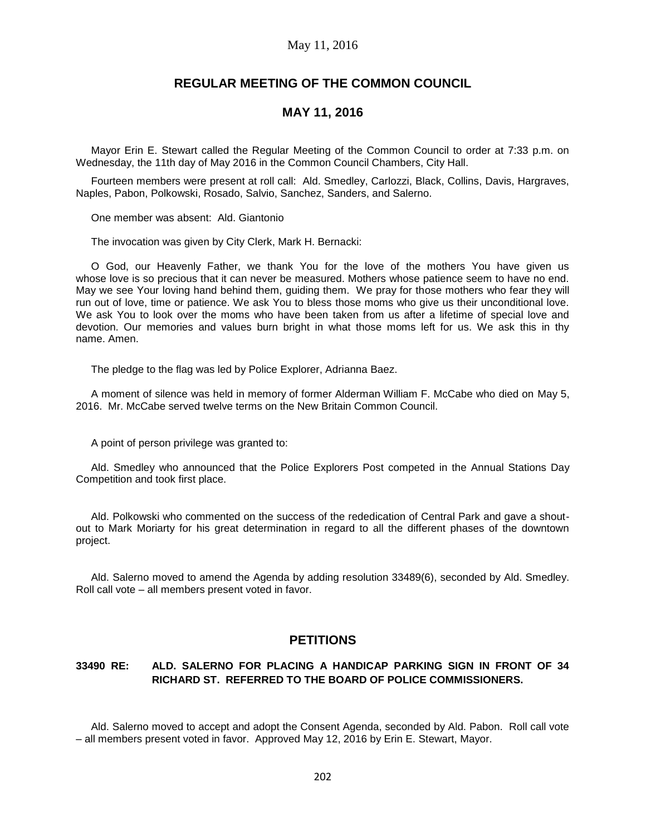### May 11, 2016

# **REGULAR MEETING OF THE COMMON COUNCIL**

# **MAY 11, 2016**

Mayor Erin E. Stewart called the Regular Meeting of the Common Council to order at 7:33 p.m. on Wednesday, the 11th day of May 2016 in the Common Council Chambers, City Hall.

Fourteen members were present at roll call: Ald. Smedley, Carlozzi, Black, Collins, Davis, Hargraves, Naples, Pabon, Polkowski, Rosado, Salvio, Sanchez, Sanders, and Salerno.

One member was absent: Ald. Giantonio

The invocation was given by City Clerk, Mark H. Bernacki:

O God, our Heavenly Father, we thank You for the love of the mothers You have given us whose love is so precious that it can never be measured. Mothers whose patience seem to have no end. May we see Your loving hand behind them, guiding them. We pray for those mothers who fear they will run out of love, time or patience. We ask You to bless those moms who give us their unconditional love. We ask You to look over the moms who have been taken from us after a lifetime of special love and devotion. Our memories and values burn bright in what those moms left for us. We ask this in thy name. Amen.

The pledge to the flag was led by Police Explorer, Adrianna Baez.

A moment of silence was held in memory of former Alderman William F. McCabe who died on May 5, 2016. Mr. McCabe served twelve terms on the New Britain Common Council.

A point of person privilege was granted to:

Ald. Smedley who announced that the Police Explorers Post competed in the Annual Stations Day Competition and took first place.

Ald. Polkowski who commented on the success of the rededication of Central Park and gave a shoutout to Mark Moriarty for his great determination in regard to all the different phases of the downtown project.

Ald. Salerno moved to amend the Agenda by adding resolution 33489(6), seconded by Ald. Smedley. Roll call vote – all members present voted in favor.

# **PETITIONS**

## **33490 RE: ALD. SALERNO FOR PLACING A HANDICAP PARKING SIGN IN FRONT OF 34 RICHARD ST. REFERRED TO THE BOARD OF POLICE COMMISSIONERS.**

Ald. Salerno moved to accept and adopt the Consent Agenda, seconded by Ald. Pabon. Roll call vote – all members present voted in favor. Approved May 12, 2016 by Erin E. Stewart, Mayor.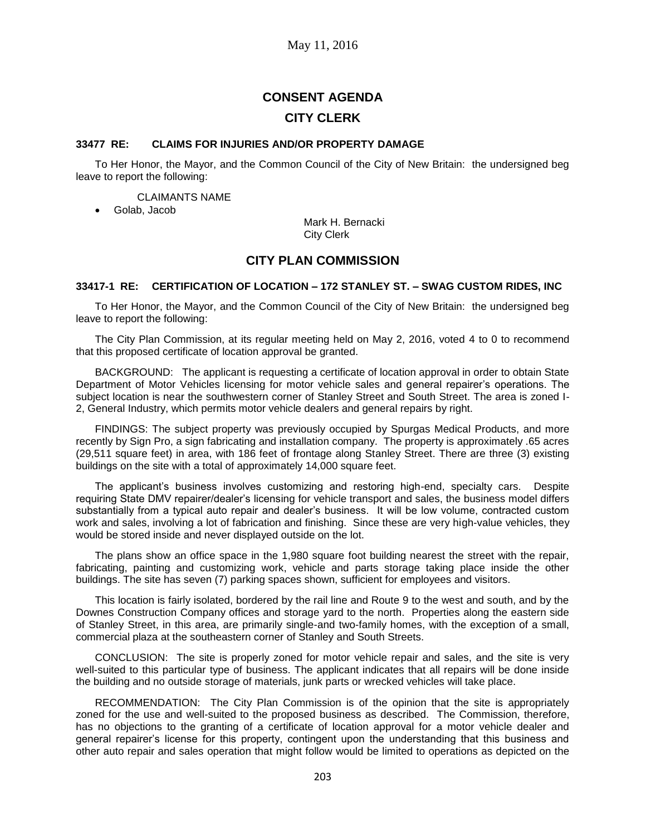# **CONSENT AGENDA CITY CLERK**

#### **33477 RE: CLAIMS FOR INJURIES AND/OR PROPERTY DAMAGE**

To Her Honor, the Mayor, and the Common Council of the City of New Britain: the undersigned beg leave to report the following:

CLAIMANTS NAME

Golab, Jacob

Mark H. Bernacki City Clerk

# **CITY PLAN COMMISSION**

### **33417-1 RE: CERTIFICATION OF LOCATION – 172 STANLEY ST. – SWAG CUSTOM RIDES, INC**

To Her Honor, the Mayor, and the Common Council of the City of New Britain: the undersigned beg leave to report the following:

The City Plan Commission, at its regular meeting held on May 2, 2016, voted 4 to 0 to recommend that this proposed certificate of location approval be granted.

BACKGROUND: The applicant is requesting a certificate of location approval in order to obtain State Department of Motor Vehicles licensing for motor vehicle sales and general repairer's operations. The subject location is near the southwestern corner of Stanley Street and South Street. The area is zoned I-2, General Industry, which permits motor vehicle dealers and general repairs by right.

FINDINGS: The subject property was previously occupied by Spurgas Medical Products, and more recently by Sign Pro, a sign fabricating and installation company. The property is approximately .65 acres (29,511 square feet) in area, with 186 feet of frontage along Stanley Street. There are three (3) existing buildings on the site with a total of approximately 14,000 square feet.

The applicant's business involves customizing and restoring high-end, specialty cars. Despite requiring State DMV repairer/dealer's licensing for vehicle transport and sales, the business model differs substantially from a typical auto repair and dealer's business. It will be low volume, contracted custom work and sales, involving a lot of fabrication and finishing. Since these are very high-value vehicles, they would be stored inside and never displayed outside on the lot.

The plans show an office space in the 1,980 square foot building nearest the street with the repair, fabricating, painting and customizing work, vehicle and parts storage taking place inside the other buildings. The site has seven (7) parking spaces shown, sufficient for employees and visitors.

This location is fairly isolated, bordered by the rail line and Route 9 to the west and south, and by the Downes Construction Company offices and storage yard to the north. Properties along the eastern side of Stanley Street, in this area, are primarily single-and two-family homes, with the exception of a small, commercial plaza at the southeastern corner of Stanley and South Streets.

CONCLUSION: The site is properly zoned for motor vehicle repair and sales, and the site is very well-suited to this particular type of business. The applicant indicates that all repairs will be done inside the building and no outside storage of materials, junk parts or wrecked vehicles will take place.

RECOMMENDATION: The City Plan Commission is of the opinion that the site is appropriately zoned for the use and well-suited to the proposed business as described. The Commission, therefore, has no objections to the granting of a certificate of location approval for a motor vehicle dealer and general repairer's license for this property, contingent upon the understanding that this business and other auto repair and sales operation that might follow would be limited to operations as depicted on the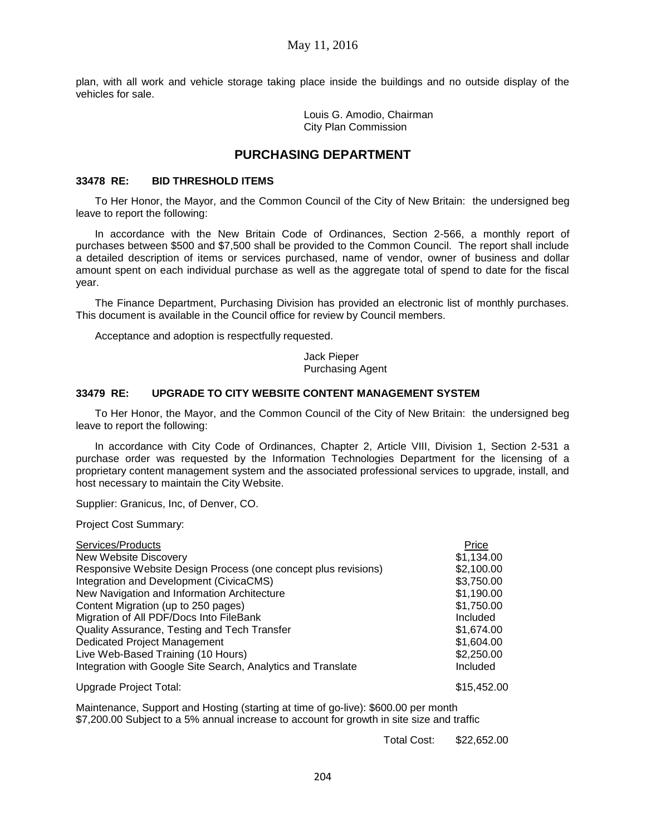plan, with all work and vehicle storage taking place inside the buildings and no outside display of the vehicles for sale.

> Louis G. Amodio, Chairman City Plan Commission

# **PURCHASING DEPARTMENT**

### **33478 RE: BID THRESHOLD ITEMS**

To Her Honor, the Mayor, and the Common Council of the City of New Britain: the undersigned beg leave to report the following:

In accordance with the New Britain Code of Ordinances, Section 2-566, a monthly report of purchases between \$500 and \$7,500 shall be provided to the Common Council. The report shall include a detailed description of items or services purchased, name of vendor, owner of business and dollar amount spent on each individual purchase as well as the aggregate total of spend to date for the fiscal year.

The Finance Department, Purchasing Division has provided an electronic list of monthly purchases. This document is available in the Council office for review by Council members.

Acceptance and adoption is respectfully requested.

Jack Pieper Purchasing Agent

### **33479 RE: UPGRADE TO CITY WEBSITE CONTENT MANAGEMENT SYSTEM**

To Her Honor, the Mayor, and the Common Council of the City of New Britain: the undersigned beg leave to report the following:

In accordance with City Code of Ordinances, Chapter 2, Article VIII, Division 1, Section 2-531 a purchase order was requested by the Information Technologies Department for the licensing of a proprietary content management system and the associated professional services to upgrade, install, and host necessary to maintain the City Website.

Supplier: Granicus, Inc, of Denver, CO.

Project Cost Summary:

| Services/Products                                              | Price       |
|----------------------------------------------------------------|-------------|
| New Website Discovery                                          | \$1,134.00  |
| Responsive Website Design Process (one concept plus revisions) | \$2,100.00  |
| Integration and Development (CivicaCMS)                        | \$3,750.00  |
| New Navigation and Information Architecture                    | \$1,190.00  |
| Content Migration (up to 250 pages)                            | \$1,750.00  |
| Migration of All PDF/Docs Into FileBank                        | Included    |
| Quality Assurance, Testing and Tech Transfer                   | \$1,674.00  |
| Dedicated Project Management                                   | \$1,604.00  |
| Live Web-Based Training (10 Hours)                             | \$2,250.00  |
| Integration with Google Site Search, Analytics and Translate   | Included    |
| Upgrade Project Total:                                         | \$15,452.00 |

Maintenance, Support and Hosting (starting at time of go-live): \$600.00 per month \$7,200.00 Subject to a 5% annual increase to account for growth in site size and traffic

Total Cost: \$22,652.00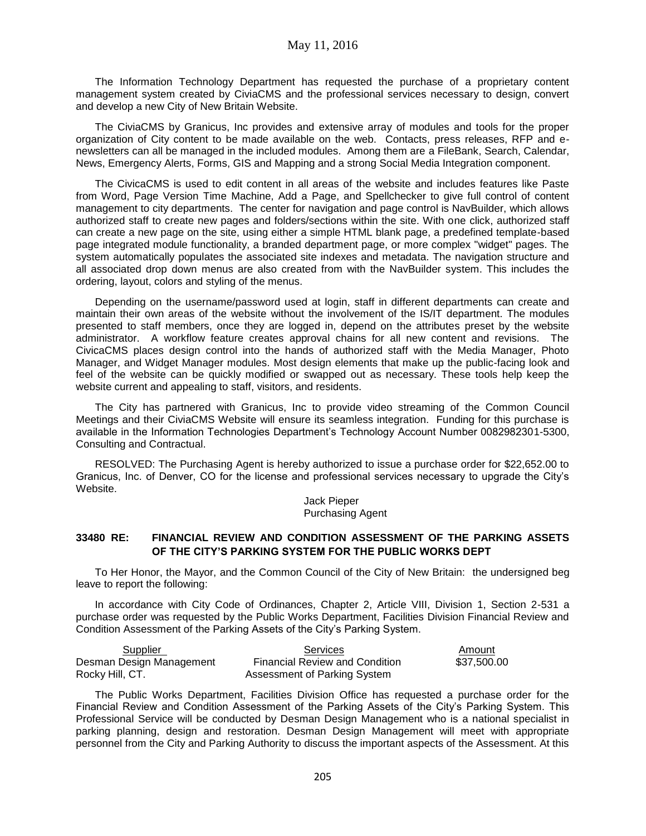The Information Technology Department has requested the purchase of a proprietary content management system created by CiviaCMS and the professional services necessary to design, convert and develop a new City of New Britain Website.

The CiviaCMS by Granicus, Inc provides and extensive array of modules and tools for the proper organization of City content to be made available on the web. Contacts, press releases, RFP and enewsletters can all be managed in the included modules. Among them are a FileBank, Search, Calendar, News, Emergency Alerts, Forms, GIS and Mapping and a strong Social Media Integration component.

The CivicaCMS is used to edit content in all areas of the website and includes features like Paste from Word, Page Version Time Machine, Add a Page, and Spellchecker to give full control of content management to city departments. The center for navigation and page control is NavBuilder, which allows authorized staff to create new pages and folders/sections within the site. With one click, authorized staff can create a new page on the site, using either a simple HTML blank page, a predefined template-based page integrated module functionality, a branded department page, or more complex "widget" pages. The system automatically populates the associated site indexes and metadata. The navigation structure and all associated drop down menus are also created from with the NavBuilder system. This includes the ordering, layout, colors and styling of the menus.

Depending on the username/password used at login, staff in different departments can create and maintain their own areas of the website without the involvement of the IS/IT department. The modules presented to staff members, once they are logged in, depend on the attributes preset by the website administrator. A workflow feature creates approval chains for all new content and revisions. The CivicaCMS places design control into the hands of authorized staff with the Media Manager, Photo Manager, and Widget Manager modules. Most design elements that make up the public-facing look and feel of the website can be quickly modified or swapped out as necessary. These tools help keep the website current and appealing to staff, visitors, and residents.

The City has partnered with Granicus, Inc to provide video streaming of the Common Council Meetings and their CiviaCMS Website will ensure its seamless integration. Funding for this purchase is available in the Information Technologies Department's Technology Account Number 0082982301-5300, Consulting and Contractual.

RESOLVED: The Purchasing Agent is hereby authorized to issue a purchase order for \$22,652.00 to Granicus, Inc. of Denver, CO for the license and professional services necessary to upgrade the City's Website.

Jack Pieper Purchasing Agent

### **33480 RE: FINANCIAL REVIEW AND CONDITION ASSESSMENT OF THE PARKING ASSETS OF THE CITY'S PARKING SYSTEM FOR THE PUBLIC WORKS DEPT**

To Her Honor, the Mayor, and the Common Council of the City of New Britain: the undersigned beg leave to report the following:

In accordance with City Code of Ordinances, Chapter 2, Article VIII, Division 1, Section 2-531 a purchase order was requested by the Public Works Department, Facilities Division Financial Review and Condition Assessment of the Parking Assets of the City's Parking System.

| Supplier                 | <b>Services</b>                       | Amount      |
|--------------------------|---------------------------------------|-------------|
| Desman Design Management | <b>Financial Review and Condition</b> | \$37.500.00 |
| Rocky Hill, CT.          | Assessment of Parking System          |             |

The Public Works Department, Facilities Division Office has requested a purchase order for the Financial Review and Condition Assessment of the Parking Assets of the City's Parking System. This Professional Service will be conducted by Desman Design Management who is a national specialist in parking planning, design and restoration. Desman Design Management will meet with appropriate personnel from the City and Parking Authority to discuss the important aspects of the Assessment. At this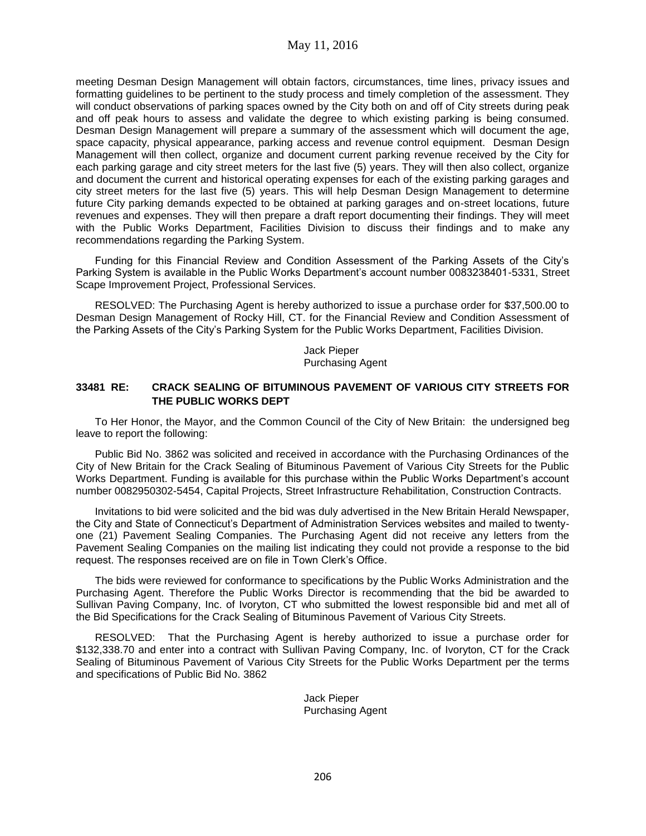meeting Desman Design Management will obtain factors, circumstances, time lines, privacy issues and formatting guidelines to be pertinent to the study process and timely completion of the assessment. They will conduct observations of parking spaces owned by the City both on and off of City streets during peak and off peak hours to assess and validate the degree to which existing parking is being consumed. Desman Design Management will prepare a summary of the assessment which will document the age, space capacity, physical appearance, parking access and revenue control equipment. Desman Design Management will then collect, organize and document current parking revenue received by the City for each parking garage and city street meters for the last five (5) years. They will then also collect, organize and document the current and historical operating expenses for each of the existing parking garages and city street meters for the last five (5) years. This will help Desman Design Management to determine future City parking demands expected to be obtained at parking garages and on-street locations, future revenues and expenses. They will then prepare a draft report documenting their findings. They will meet with the Public Works Department, Facilities Division to discuss their findings and to make any recommendations regarding the Parking System.

Funding for this Financial Review and Condition Assessment of the Parking Assets of the City's Parking System is available in the Public Works Department's account number 0083238401-5331, Street Scape Improvement Project, Professional Services.

RESOLVED: The Purchasing Agent is hereby authorized to issue a purchase order for \$37,500.00 to Desman Design Management of Rocky Hill, CT. for the Financial Review and Condition Assessment of the Parking Assets of the City's Parking System for the Public Works Department, Facilities Division.

> Jack Pieper Purchasing Agent

### **33481 RE: CRACK SEALING OF BITUMINOUS PAVEMENT OF VARIOUS CITY STREETS FOR THE PUBLIC WORKS DEPT**

To Her Honor, the Mayor, and the Common Council of the City of New Britain: the undersigned beg leave to report the following:

Public Bid No. 3862 was solicited and received in accordance with the Purchasing Ordinances of the City of New Britain for the Crack Sealing of Bituminous Pavement of Various City Streets for the Public Works Department. Funding is available for this purchase within the Public Works Department's account number 0082950302-5454, Capital Projects, Street Infrastructure Rehabilitation, Construction Contracts.

Invitations to bid were solicited and the bid was duly advertised in the New Britain Herald Newspaper, the City and State of Connecticut's Department of Administration Services websites and mailed to twentyone (21) Pavement Sealing Companies. The Purchasing Agent did not receive any letters from the Pavement Sealing Companies on the mailing list indicating they could not provide a response to the bid request. The responses received are on file in Town Clerk's Office.

The bids were reviewed for conformance to specifications by the Public Works Administration and the Purchasing Agent. Therefore the Public Works Director is recommending that the bid be awarded to Sullivan Paving Company, Inc. of Ivoryton, CT who submitted the lowest responsible bid and met all of the Bid Specifications for the Crack Sealing of Bituminous Pavement of Various City Streets.

RESOLVED: That the Purchasing Agent is hereby authorized to issue a purchase order for \$132,338.70 and enter into a contract with Sullivan Paving Company, Inc. of Ivoryton, CT for the Crack Sealing of Bituminous Pavement of Various City Streets for the Public Works Department per the terms and specifications of Public Bid No. 3862

> Jack Pieper Purchasing Agent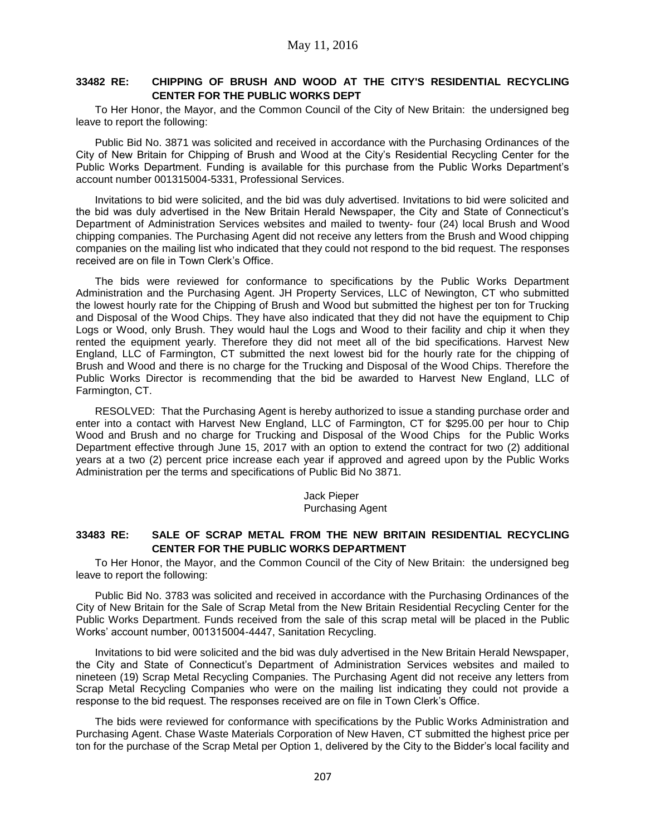# **33482 RE: CHIPPING OF BRUSH AND WOOD AT THE CITY'S RESIDENTIAL RECYCLING CENTER FOR THE PUBLIC WORKS DEPT**

To Her Honor, the Mayor, and the Common Council of the City of New Britain: the undersigned beg leave to report the following:

Public Bid No. 3871 was solicited and received in accordance with the Purchasing Ordinances of the City of New Britain for Chipping of Brush and Wood at the City's Residential Recycling Center for the Public Works Department. Funding is available for this purchase from the Public Works Department's account number 001315004-5331, Professional Services.

Invitations to bid were solicited, and the bid was duly advertised. Invitations to bid were solicited and the bid was duly advertised in the New Britain Herald Newspaper, the City and State of Connecticut's Department of Administration Services websites and mailed to twenty- four (24) local Brush and Wood chipping companies. The Purchasing Agent did not receive any letters from the Brush and Wood chipping companies on the mailing list who indicated that they could not respond to the bid request. The responses received are on file in Town Clerk's Office.

The bids were reviewed for conformance to specifications by the Public Works Department Administration and the Purchasing Agent. JH Property Services, LLC of Newington, CT who submitted the lowest hourly rate for the Chipping of Brush and Wood but submitted the highest per ton for Trucking and Disposal of the Wood Chips. They have also indicated that they did not have the equipment to Chip Logs or Wood, only Brush. They would haul the Logs and Wood to their facility and chip it when they rented the equipment yearly. Therefore they did not meet all of the bid specifications. Harvest New England, LLC of Farmington, CT submitted the next lowest bid for the hourly rate for the chipping of Brush and Wood and there is no charge for the Trucking and Disposal of the Wood Chips. Therefore the Public Works Director is recommending that the bid be awarded to Harvest New England, LLC of Farmington, CT.

RESOLVED: That the Purchasing Agent is hereby authorized to issue a standing purchase order and enter into a contact with Harvest New England, LLC of Farmington, CT for \$295.00 per hour to Chip Wood and Brush and no charge for Trucking and Disposal of the Wood Chips for the Public Works Department effective through June 15, 2017 with an option to extend the contract for two (2) additional years at a two (2) percent price increase each year if approved and agreed upon by the Public Works Administration per the terms and specifications of Public Bid No 3871.

> Jack Pieper Purchasing Agent

# **33483 RE: SALE OF SCRAP METAL FROM THE NEW BRITAIN RESIDENTIAL RECYCLING CENTER FOR THE PUBLIC WORKS DEPARTMENT**

To Her Honor, the Mayor, and the Common Council of the City of New Britain: the undersigned beg leave to report the following:

Public Bid No. 3783 was solicited and received in accordance with the Purchasing Ordinances of the City of New Britain for the Sale of Scrap Metal from the New Britain Residential Recycling Center for the Public Works Department. Funds received from the sale of this scrap metal will be placed in the Public Works' account number, 001315004-4447, Sanitation Recycling.

Invitations to bid were solicited and the bid was duly advertised in the New Britain Herald Newspaper, the City and State of Connecticut's Department of Administration Services websites and mailed to nineteen (19) Scrap Metal Recycling Companies. The Purchasing Agent did not receive any letters from Scrap Metal Recycling Companies who were on the mailing list indicating they could not provide a response to the bid request. The responses received are on file in Town Clerk's Office.

The bids were reviewed for conformance with specifications by the Public Works Administration and Purchasing Agent. Chase Waste Materials Corporation of New Haven, CT submitted the highest price per ton for the purchase of the Scrap Metal per Option 1, delivered by the City to the Bidder's local facility and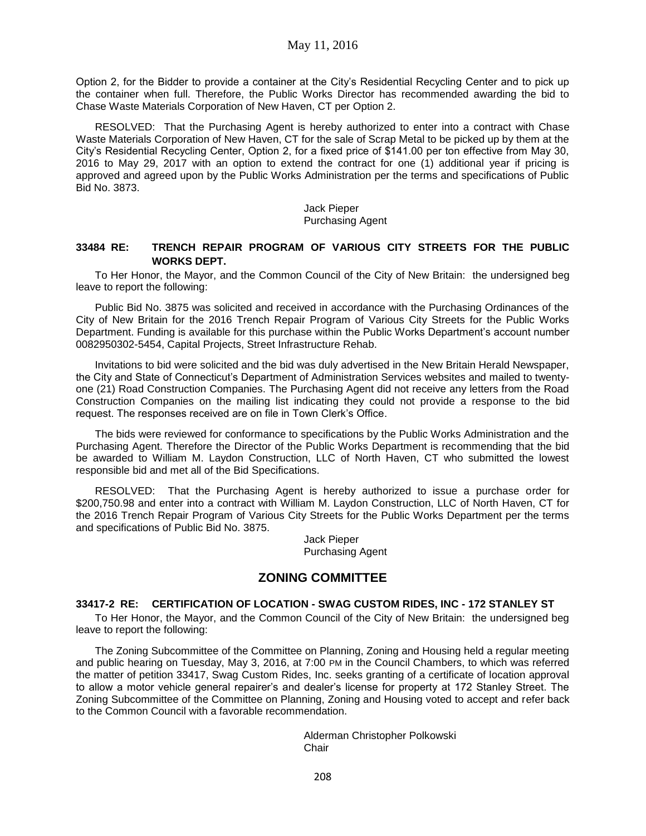Option 2, for the Bidder to provide a container at the City's Residential Recycling Center and to pick up the container when full. Therefore, the Public Works Director has recommended awarding the bid to Chase Waste Materials Corporation of New Haven, CT per Option 2.

RESOLVED: That the Purchasing Agent is hereby authorized to enter into a contract with Chase Waste Materials Corporation of New Haven, CT for the sale of Scrap Metal to be picked up by them at the City's Residential Recycling Center, Option 2, for a fixed price of \$141.00 per ton effective from May 30, 2016 to May 29, 2017 with an option to extend the contract for one (1) additional year if pricing is approved and agreed upon by the Public Works Administration per the terms and specifications of Public Bid No. 3873.

#### Jack Pieper Purchasing Agent

### **33484 RE: TRENCH REPAIR PROGRAM OF VARIOUS CITY STREETS FOR THE PUBLIC WORKS DEPT.**

To Her Honor, the Mayor, and the Common Council of the City of New Britain: the undersigned beg leave to report the following:

Public Bid No. 3875 was solicited and received in accordance with the Purchasing Ordinances of the City of New Britain for the 2016 Trench Repair Program of Various City Streets for the Public Works Department. Funding is available for this purchase within the Public Works Department's account number 0082950302-5454, Capital Projects, Street Infrastructure Rehab.

Invitations to bid were solicited and the bid was duly advertised in the New Britain Herald Newspaper, the City and State of Connecticut's Department of Administration Services websites and mailed to twentyone (21) Road Construction Companies. The Purchasing Agent did not receive any letters from the Road Construction Companies on the mailing list indicating they could not provide a response to the bid request. The responses received are on file in Town Clerk's Office.

The bids were reviewed for conformance to specifications by the Public Works Administration and the Purchasing Agent. Therefore the Director of the Public Works Department is recommending that the bid be awarded to William M. Laydon Construction, LLC of North Haven, CT who submitted the lowest responsible bid and met all of the Bid Specifications.

RESOLVED: That the Purchasing Agent is hereby authorized to issue a purchase order for \$200,750.98 and enter into a contract with William M. Laydon Construction, LLC of North Haven, CT for the 2016 Trench Repair Program of Various City Streets for the Public Works Department per the terms and specifications of Public Bid No. 3875.

> Jack Pieper Purchasing Agent

# **ZONING COMMITTEE**

# **33417-2 RE: CERTIFICATION OF LOCATION - SWAG CUSTOM RIDES, INC - 172 STANLEY ST**

To Her Honor, the Mayor, and the Common Council of the City of New Britain: the undersigned beg leave to report the following:

The Zoning Subcommittee of the Committee on Planning, Zoning and Housing held a regular meeting and public hearing on Tuesday, May 3, 2016, at 7:00 PM in the Council Chambers, to which was referred the matter of petition 33417, Swag Custom Rides, Inc. seeks granting of a certificate of location approval to allow a motor vehicle general repairer's and dealer's license for property at 172 Stanley Street. The Zoning Subcommittee of the Committee on Planning, Zoning and Housing voted to accept and refer back to the Common Council with a favorable recommendation.

> Alderman Christopher Polkowski **Chair**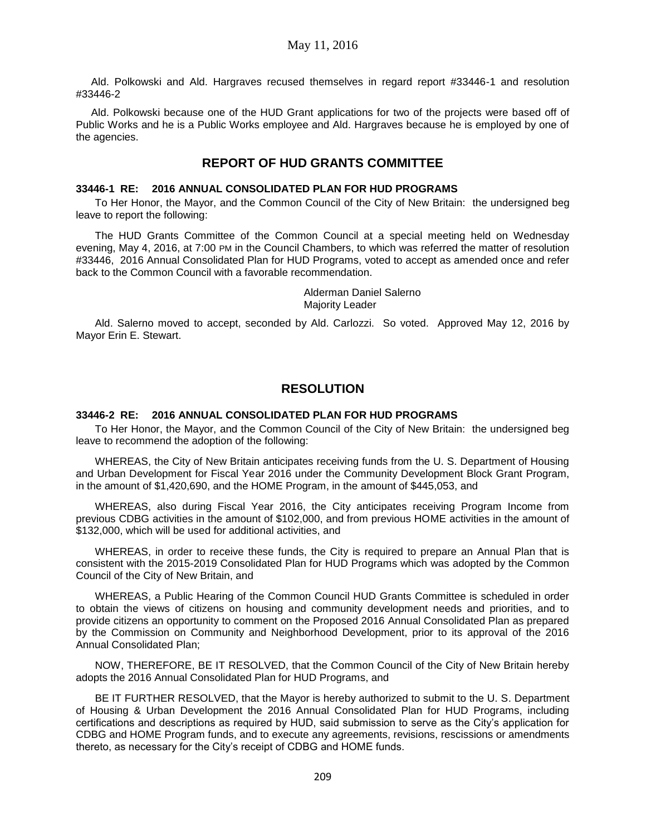Ald. Polkowski and Ald. Hargraves recused themselves in regard report #33446-1 and resolution #33446-2

Ald. Polkowski because one of the HUD Grant applications for two of the projects were based off of Public Works and he is a Public Works employee and Ald. Hargraves because he is employed by one of the agencies.

# **REPORT OF HUD GRANTS COMMITTEE**

### **33446-1 RE: 2016 ANNUAL CONSOLIDATED PLAN FOR HUD PROGRAMS**

To Her Honor, the Mayor, and the Common Council of the City of New Britain: the undersigned beg leave to report the following:

The HUD Grants Committee of the Common Council at a special meeting held on Wednesday evening, May 4, 2016, at 7:00 PM in the Council Chambers, to which was referred the matter of resolution #33446, 2016 Annual Consolidated Plan for HUD Programs, voted to accept as amended once and refer back to the Common Council with a favorable recommendation.

> Alderman Daniel Salerno Majority Leader

Ald. Salerno moved to accept, seconded by Ald. Carlozzi. So voted. Approved May 12, 2016 by Mayor Erin E. Stewart.

# **RESOLUTION**

#### **33446-2 RE: 2016 ANNUAL CONSOLIDATED PLAN FOR HUD PROGRAMS**

To Her Honor, the Mayor, and the Common Council of the City of New Britain: the undersigned beg leave to recommend the adoption of the following:

WHEREAS, the City of New Britain anticipates receiving funds from the U. S. Department of Housing and Urban Development for Fiscal Year 2016 under the Community Development Block Grant Program, in the amount of \$1,420,690, and the HOME Program, in the amount of \$445,053, and

WHEREAS, also during Fiscal Year 2016, the City anticipates receiving Program Income from previous CDBG activities in the amount of \$102,000, and from previous HOME activities in the amount of \$132,000, which will be used for additional activities, and

WHEREAS, in order to receive these funds, the City is required to prepare an Annual Plan that is consistent with the 2015-2019 Consolidated Plan for HUD Programs which was adopted by the Common Council of the City of New Britain, and

WHEREAS, a Public Hearing of the Common Council HUD Grants Committee is scheduled in order to obtain the views of citizens on housing and community development needs and priorities, and to provide citizens an opportunity to comment on the Proposed 2016 Annual Consolidated Plan as prepared by the Commission on Community and Neighborhood Development, prior to its approval of the 2016 Annual Consolidated Plan;

NOW, THEREFORE, BE IT RESOLVED, that the Common Council of the City of New Britain hereby adopts the 2016 Annual Consolidated Plan for HUD Programs, and

BE IT FURTHER RESOLVED, that the Mayor is hereby authorized to submit to the U. S. Department of Housing & Urban Development the 2016 Annual Consolidated Plan for HUD Programs, including certifications and descriptions as required by HUD, said submission to serve as the City's application for CDBG and HOME Program funds, and to execute any agreements, revisions, rescissions or amendments thereto, as necessary for the City's receipt of CDBG and HOME funds.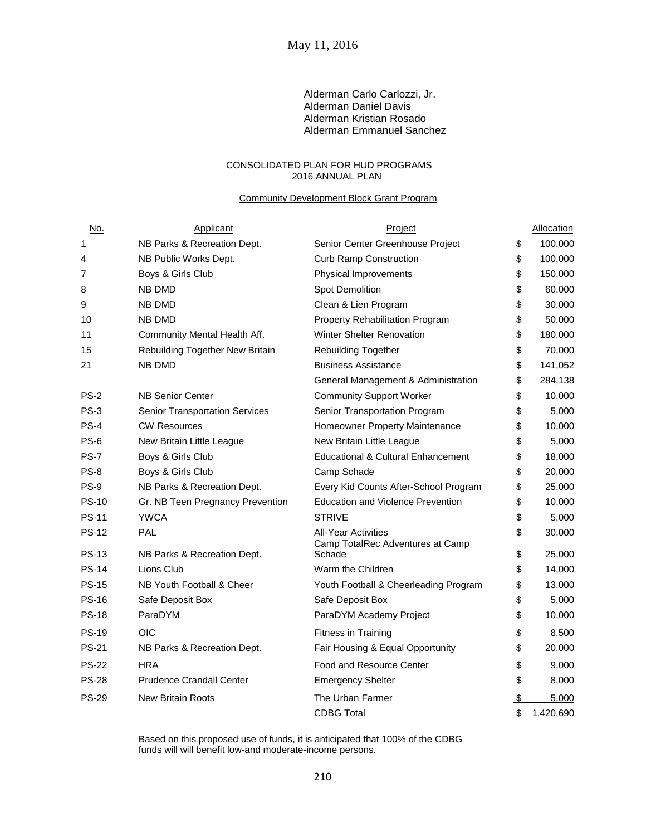#### Alderman Carlo Carlozzi, Jr. Alderman Daniel Davis Alderman Kristian Rosado Alderman Emmanuel Sanchez

#### CONSOLIDATED PLAN FOR HUD PROGRAMS 2016 ANNUAL PLAN

#### **Community Development Block Grant Program**

| <u>No.</u>   | Applicant                        | Project                                                        |               | Allocation |
|--------------|----------------------------------|----------------------------------------------------------------|---------------|------------|
| 1            | NB Parks & Recreation Dept.      | Senior Center Greenhouse Project                               | \$            | 100,000    |
| 4            | NB Public Works Dept.            | <b>Curb Ramp Construction</b>                                  | \$            | 100,000    |
| 7            | Boys & Girls Club                | Physical Improvements                                          | \$            | 150,000    |
| 8            | <b>NB DMD</b>                    | Spot Demolition                                                | \$            | 60,000     |
| 9            | <b>NB DMD</b>                    | Clean & Lien Program                                           | \$            | 30,000     |
| 10           | NB DMD                           | Property Rehabilitation Program                                | \$            | 50,000     |
| 11           | Community Mental Health Aff.     | <b>Winter Shelter Renovation</b>                               | \$            | 180,000    |
| 15           | Rebuilding Together New Britain  | <b>Rebuilding Together</b>                                     | \$            | 70,000     |
| 21           | NB DMD                           | <b>Business Assistance</b>                                     | \$            | 141,052    |
|              |                                  | General Management & Administration                            | \$            | 284,138    |
| $PS-2$       | <b>NB Senior Center</b>          | <b>Community Support Worker</b>                                | \$            | 10,000     |
| <b>PS-3</b>  | Senior Transportation Services   | Senior Transportation Program                                  | \$            | 5,000      |
| $PS-4$       | <b>CW Resources</b>              | Homeowner Property Maintenance                                 | \$            | 10,000     |
| PS-6         | New Britain Little League        | New Britain Little League                                      | \$            | 5,000      |
| <b>PS-7</b>  | Boys & Girls Club                | <b>Educational &amp; Cultural Enhancement</b>                  | \$            | 18,000     |
| $PS-8$       | Boys & Girls Club                | Camp Schade                                                    | \$            | 20,000     |
| PS-9         | NB Parks & Recreation Dept.      | Every Kid Counts After-School Program                          | \$            | 25,000     |
| <b>PS-10</b> | Gr. NB Teen Pregnancy Prevention | <b>Education and Violence Prevention</b>                       | \$            | 10,000     |
| <b>PS-11</b> | <b>YWCA</b>                      | <b>STRIVE</b>                                                  | \$            | 5,000      |
| <b>PS-12</b> | PAL                              | <b>All-Year Activities</b><br>Camp TotalRec Adventures at Camp | \$            | 30,000     |
| <b>PS-13</b> | NB Parks & Recreation Dept.      | Schade                                                         | \$            | 25,000     |
| <b>PS-14</b> | Lions Club                       | Warm the Children                                              | \$            | 14,000     |
| <b>PS-15</b> | NB Youth Football & Cheer        | Youth Football & Cheerleading Program                          | \$            | 13,000     |
| <b>PS-16</b> | Safe Deposit Box                 | Safe Deposit Box                                               | \$            | 5,000      |
| <b>PS-18</b> | ParaDYM                          | ParaDYM Academy Project                                        | \$            | 10,000     |
| <b>PS-19</b> | <b>OIC</b>                       | Fitness in Training                                            | \$            | 8,500      |
| <b>PS-21</b> | NB Parks & Recreation Dept.      | Fair Housing & Equal Opportunity                               | \$            | 20,000     |
| <b>PS-22</b> | <b>HRA</b>                       | Food and Resource Center                                       | \$            | 9,000      |
| <b>PS-28</b> | <b>Prudence Crandall Center</b>  | <b>Emergency Shelter</b>                                       | \$            | 8,000      |
| <b>PS-29</b> | <b>New Britain Roots</b>         | The Urban Farmer                                               | $\frac{1}{2}$ | 5,000      |
|              |                                  | <b>CDBG Total</b>                                              | \$            | 1,420,690  |

Based on this proposed use of funds, it is anticipated that 100% of the CDBG funds will will benefit low-and moderate-income persons.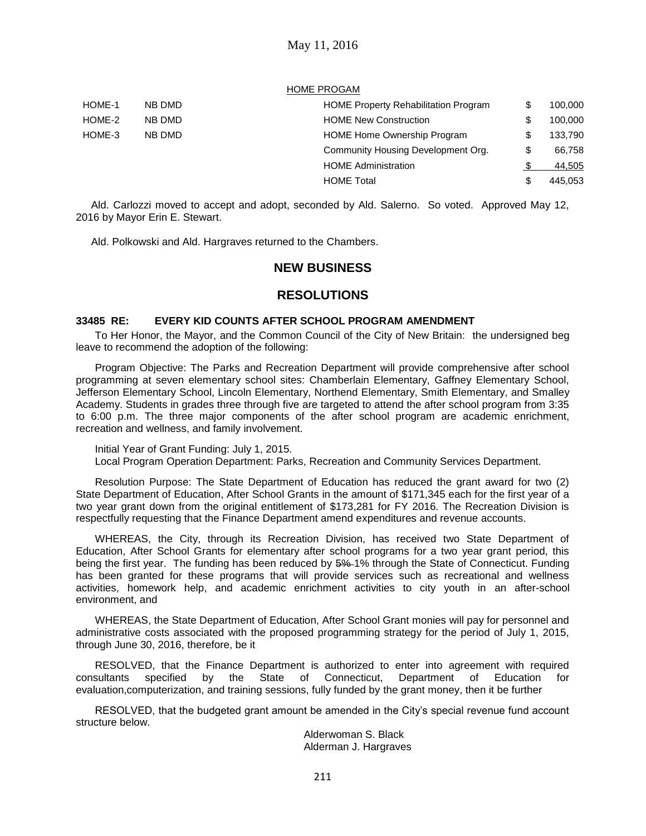#### HOME PROGAM

| HOME-1 | NB DMD | <b>HOME Property Rehabilitation Program</b> | \$<br>100,000 |
|--------|--------|---------------------------------------------|---------------|
| HOME-2 | NB DMD | <b>HOME New Construction</b>                | \$<br>100,000 |
| HOME-3 | NB DMD | HOME Home Ownership Program                 | \$<br>133,790 |
|        |        | Community Housing Development Org.          | \$<br>66.758  |
|        |        | <b>HOME Administration</b>                  | 44,505        |
|        |        | <b>HOME Total</b>                           | \$<br>445.053 |

Ald. Carlozzi moved to accept and adopt, seconded by Ald. Salerno. So voted. Approved May 12, 2016 by Mayor Erin E. Stewart.

Ald. Polkowski and Ald. Hargraves returned to the Chambers.

# **NEW BUSINESS**

# **RESOLUTIONS**

#### **33485 RE: EVERY KID COUNTS AFTER SCHOOL PROGRAM AMENDMENT**

To Her Honor, the Mayor, and the Common Council of the City of New Britain: the undersigned beg leave to recommend the adoption of the following:

Program Objective: The Parks and Recreation Department will provide comprehensive after school programming at seven elementary school sites: Chamberlain Elementary, Gaffney Elementary School, Jefferson Elementary School, Lincoln Elementary, Northend Elementary, Smith Elementary, and Smalley Academy. Students in grades three through five are targeted to attend the after school program from 3:35 to 6:00 p.m. The three major components of the after school program are academic enrichment, recreation and wellness, and family involvement.

Initial Year of Grant Funding: July 1, 2015. Local Program Operation Department: Parks, Recreation and Community Services Department.

Resolution Purpose: The State Department of Education has reduced the grant award for two (2) State Department of Education, After School Grants in the amount of \$171,345 each for the first year of a two year grant down from the original entitlement of \$173,281 for FY 2016. The Recreation Division is respectfully requesting that the Finance Department amend expenditures and revenue accounts.

WHEREAS, the City, through its Recreation Division, has received two State Department of Education, After School Grants for elementary after school programs for a two year grant period, this being the first year. The funding has been reduced by  $5\%$ -1% through the State of Connecticut. Funding has been granted for these programs that will provide services such as recreational and wellness activities, homework help, and academic enrichment activities to city youth in an after-school environment, and

WHEREAS, the State Department of Education, After School Grant monies will pay for personnel and administrative costs associated with the proposed programming strategy for the period of July 1, 2015, through June 30, 2016, therefore, be it

RESOLVED, that the Finance Department is authorized to enter into agreement with required consultants specified by the State of Connecticut, Department of Education for evaluation,computerization, and training sessions, fully funded by the grant money, then it be further

RESOLVED, that the budgeted grant amount be amended in the City's special revenue fund account structure below.

Alderwoman S. Black Alderman J. Hargraves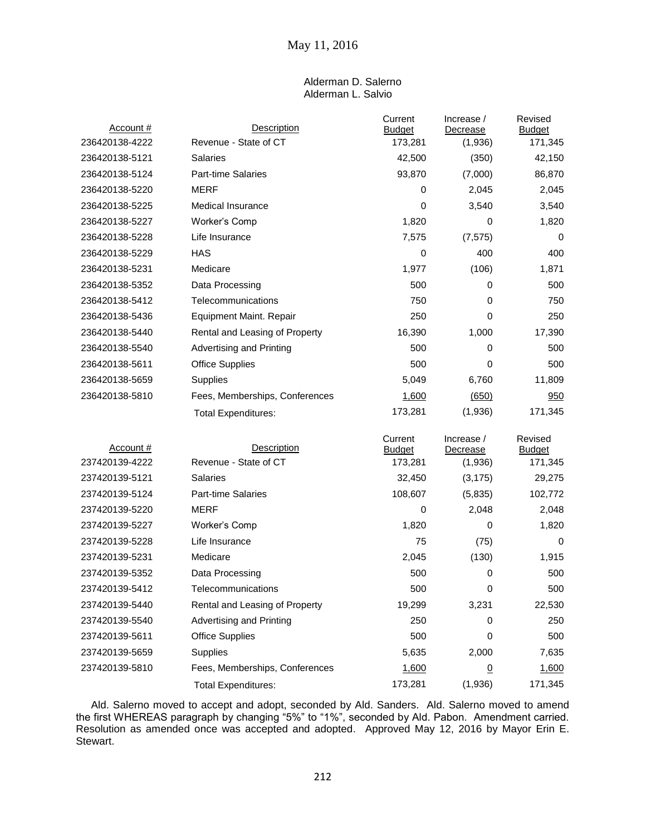### Alderman D. Salerno Alderman L. Salvio

| Account #      | <b>Description</b>              | Current<br><b>Budget</b> | Increase /<br>Decrease        | Revised<br><b>Budget</b> |
|----------------|---------------------------------|--------------------------|-------------------------------|--------------------------|
| 236420138-4222 | Revenue - State of CT           | 173,281                  | (1,936)                       | 171,345                  |
| 236420138-5121 | Salaries                        | 42,500                   | (350)                         | 42,150                   |
| 236420138-5124 | Part-time Salaries              | 93,870                   | (7,000)                       | 86,870                   |
| 236420138-5220 | <b>MERF</b>                     | 0                        | 2,045                         | 2,045                    |
| 236420138-5225 | <b>Medical Insurance</b>        | 0                        | 3,540                         | 3,540                    |
| 236420138-5227 | Worker's Comp                   | 1,820                    | 0                             | 1,820                    |
| 236420138-5228 | Life Insurance                  | 7,575                    | (7, 575)                      | 0                        |
| 236420138-5229 | HAS                             | 0                        | 400                           | 400                      |
| 236420138-5231 | Medicare                        | 1,977                    | (106)                         | 1,871                    |
| 236420138-5352 | Data Processing                 | 500                      | 0                             | 500                      |
| 236420138-5412 | Telecommunications              | 750                      | 0                             | 750                      |
| 236420138-5436 | Equipment Maint. Repair         | 250                      | 0                             | 250                      |
| 236420138-5440 | Rental and Leasing of Property  | 16,390                   | 1,000                         | 17,390                   |
| 236420138-5540 | Advertising and Printing        | 500                      | 0                             | 500                      |
| 236420138-5611 | <b>Office Supplies</b>          | 500                      | 0                             | 500                      |
| 236420138-5659 | Supplies                        | 5,049                    | 6,760                         | 11,809                   |
| 236420138-5810 | Fees, Memberships, Conferences  | 1,600                    | (650)                         | 950                      |
|                | <b>Total Expenditures:</b>      | 173,281                  | (1,936)                       | 171,345                  |
|                |                                 |                          |                               |                          |
| Account#       | <b>Description</b>              | Current<br><b>Budget</b> | Increase /<br><b>Decrease</b> | Revised<br><b>Budget</b> |
| 237420139-4222 | Revenue - State of CT           |                          |                               |                          |
| 237420139-5121 |                                 | 173,281                  | (1,936)                       | 171,345                  |
|                | Salaries                        | 32,450                   | (3, 175)                      | 29,275                   |
| 237420139-5124 | <b>Part-time Salaries</b>       | 108,607                  | (5,835)                       | 102,772                  |
| 237420139-5220 | MERF                            | 0                        | 2,048                         | 2,048                    |
| 237420139-5227 | Worker's Comp                   | 1,820                    | 0                             | 1,820                    |
| 237420139-5228 | Life Insurance                  | 75                       | (75)                          | 0                        |
| 237420139-5231 | Medicare                        | 2,045                    | (130)                         | 1,915                    |
| 237420139-5352 | Data Processing                 | 500                      | 0                             | 500                      |
| 237420139-5412 | Telecommunications              | 500                      | 0                             | 500                      |
| 237420139-5440 | Rental and Leasing of Property  | 19,299                   | 3,231                         | 22,530                   |
| 237420139-5540 | <b>Advertising and Printing</b> | 250                      | 0                             | 250                      |
| 237420139-5611 | <b>Office Supplies</b>          | 500                      | 0                             | 500                      |
| 237420139-5659 | Supplies                        | 5,635                    | 2,000                         | 7,635                    |
| 237420139-5810 | Fees, Memberships, Conferences  | 1,600                    | $\overline{0}$                | 1,600                    |

Ald. Salerno moved to accept and adopt, seconded by Ald. Sanders. Ald. Salerno moved to amend the first WHEREAS paragraph by changing "5%" to "1%", seconded by Ald. Pabon. Amendment carried. Resolution as amended once was accepted and adopted. Approved May 12, 2016 by Mayor Erin E. Stewart.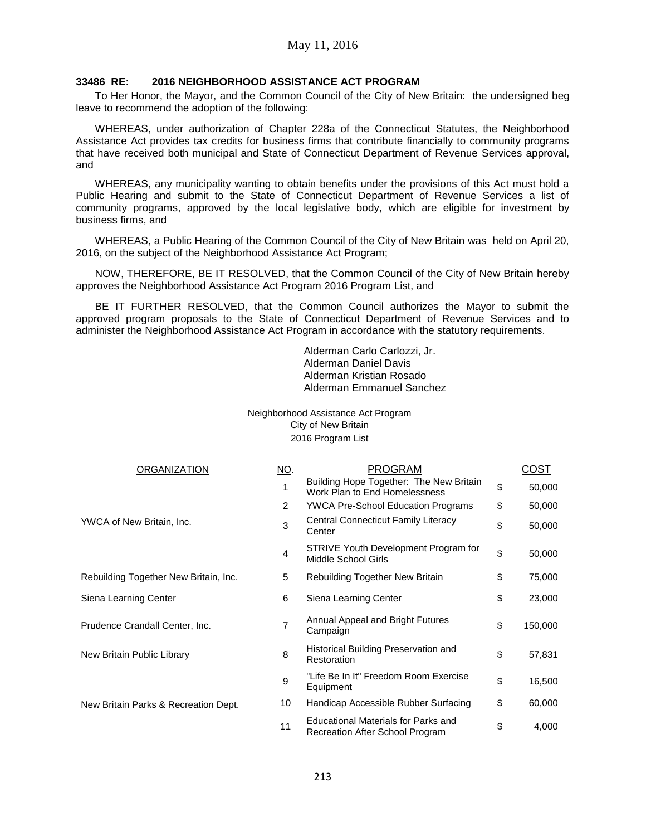### **33486 RE: 2016 NEIGHBORHOOD ASSISTANCE ACT PROGRAM**

To Her Honor, the Mayor, and the Common Council of the City of New Britain: the undersigned beg leave to recommend the adoption of the following:

WHEREAS, under authorization of Chapter 228a of the Connecticut Statutes, the Neighborhood Assistance Act provides tax credits for business firms that contribute financially to community programs that have received both municipal and State of Connecticut Department of Revenue Services approval, and

WHEREAS, any municipality wanting to obtain benefits under the provisions of this Act must hold a Public Hearing and submit to the State of Connecticut Department of Revenue Services a list of community programs, approved by the local legislative body, which are eligible for investment by business firms, and

WHEREAS, a Public Hearing of the Common Council of the City of New Britain was held on April 20, 2016, on the subject of the Neighborhood Assistance Act Program;

NOW, THEREFORE, BE IT RESOLVED, that the Common Council of the City of New Britain hereby approves the Neighborhood Assistance Act Program 2016 Program List, and

BE IT FURTHER RESOLVED, that the Common Council authorizes the Mayor to submit the approved program proposals to the State of Connecticut Department of Revenue Services and to administer the Neighborhood Assistance Act Program in accordance with the statutory requirements.

> Alderman Carlo Carlozzi, Jr. Alderman Daniel Davis Alderman Kristian Rosado Alderman Emmanuel Sanchez

Neighborhood Assistance Act Program City of New Britain 2016 Program List

| ORGANIZATION                          | <u>NO</u> .    | <b>PROGRAM</b>                                                                | COST          |
|---------------------------------------|----------------|-------------------------------------------------------------------------------|---------------|
|                                       |                | Building Hope Together: The New Britain<br>Work Plan to End Homelessness      | \$<br>50,000  |
|                                       | $\overline{2}$ | <b>YWCA Pre-School Education Programs</b>                                     | \$<br>50,000  |
| YWCA of New Britain, Inc.             | 3              | <b>Central Connecticut Family Literacy</b><br>Center                          | \$<br>50,000  |
|                                       | 4              | STRIVE Youth Development Program for<br>Middle School Girls                   | \$<br>50,000  |
| Rebuilding Together New Britain, Inc. | 5              | Rebuilding Together New Britain                                               | \$<br>75,000  |
| Siena Learning Center                 | 6              | Siena Learning Center                                                         | \$<br>23,000  |
| Prudence Crandall Center, Inc.        | $\overline{7}$ | Annual Appeal and Bright Futures<br>Campaign                                  | \$<br>150,000 |
| New Britain Public Library            | 8              | Historical Building Preservation and<br>Restoration                           | \$<br>57,831  |
|                                       | 9              | "Life Be In It" Freedom Room Exercise<br>Equipment                            | \$<br>16,500  |
| New Britain Parks & Recreation Dept.  | 10             | Handicap Accessible Rubber Surfacing                                          | \$<br>60,000  |
|                                       | 11             | <b>Educational Materials for Parks and</b><br>Recreation After School Program | \$<br>4,000   |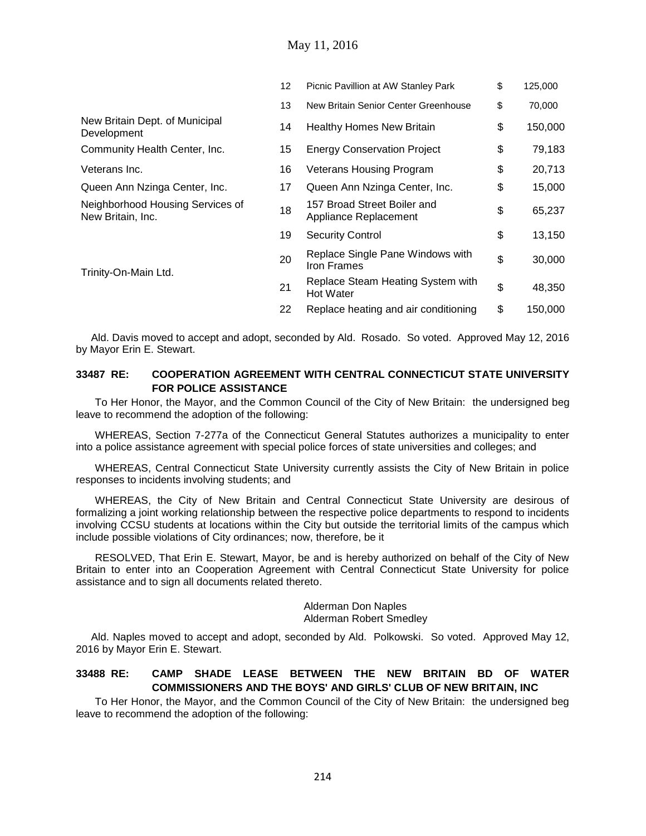| 12 | Picnic Pavillion at AW Stanley Park                   | \$<br>125,000 |
|----|-------------------------------------------------------|---------------|
| 13 | New Britain Senior Center Greenhouse                  | \$<br>70,000  |
| 14 | <b>Healthy Homes New Britain</b>                      | \$<br>150,000 |
| 15 | <b>Energy Conservation Project</b>                    | \$<br>79,183  |
| 16 | <b>Veterans Housing Program</b>                       | \$<br>20,713  |
| 17 | Queen Ann Nzinga Center, Inc.                         | \$<br>15,000  |
| 18 | 157 Broad Street Boiler and<br>Appliance Replacement  | \$<br>65,237  |
| 19 | <b>Security Control</b>                               | \$<br>13,150  |
| 20 | Replace Single Pane Windows with<br>Iron Frames       | \$<br>30,000  |
| 21 | Replace Steam Heating System with<br><b>Hot Water</b> | \$<br>48,350  |
| 22 | Replace heating and air conditioning                  | \$<br>150,000 |
|    |                                                       |               |

Ald. Davis moved to accept and adopt, seconded by Ald. Rosado. So voted. Approved May 12, 2016 by Mayor Erin E. Stewart.

### **33487 RE: COOPERATION AGREEMENT WITH CENTRAL CONNECTICUT STATE UNIVERSITY FOR POLICE ASSISTANCE**

To Her Honor, the Mayor, and the Common Council of the City of New Britain: the undersigned beg leave to recommend the adoption of the following:

WHEREAS, Section 7-277a of the Connecticut General Statutes authorizes a municipality to enter into a police assistance agreement with special police forces of state universities and colleges; and

WHEREAS, Central Connecticut State University currently assists the City of New Britain in police responses to incidents involving students; and

WHEREAS, the City of New Britain and Central Connecticut State University are desirous of formalizing a joint working relationship between the respective police departments to respond to incidents involving CCSU students at locations within the City but outside the territorial limits of the campus which include possible violations of City ordinances; now, therefore, be it

RESOLVED, That Erin E. Stewart, Mayor, be and is hereby authorized on behalf of the City of New Britain to enter into an Cooperation Agreement with Central Connecticut State University for police assistance and to sign all documents related thereto.

#### Alderman Don Naples Alderman Robert Smedley

Ald. Naples moved to accept and adopt, seconded by Ald. Polkowski. So voted. Approved May 12, 2016 by Mayor Erin E. Stewart.

### **33488 RE: CAMP SHADE LEASE BETWEEN THE NEW BRITAIN BD OF WATER COMMISSIONERS AND THE BOYS' AND GIRLS' CLUB OF NEW BRITAIN, INC**

To Her Honor, the Mayor, and the Common Council of the City of New Britain: the undersigned beg leave to recommend the adoption of the following: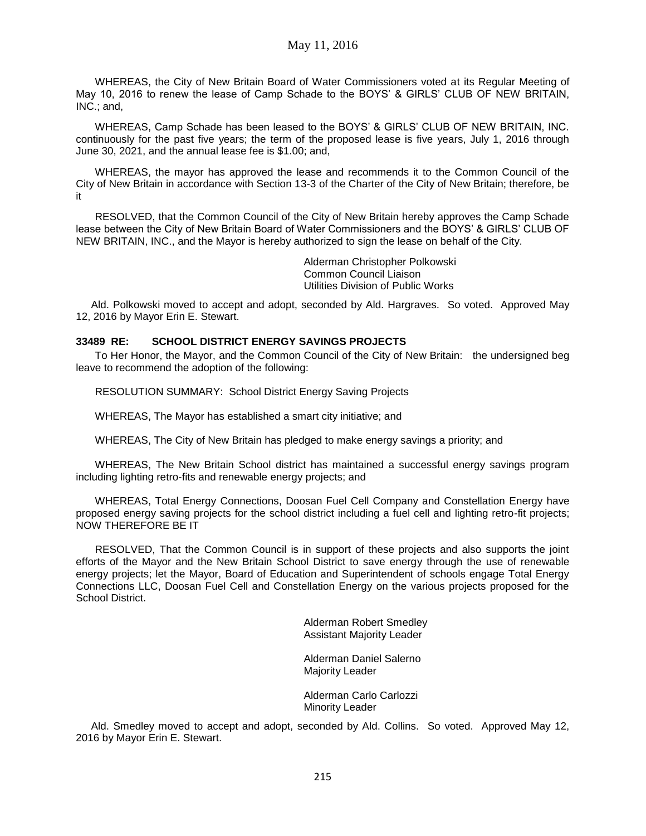May 11, 2016

WHEREAS, the City of New Britain Board of Water Commissioners voted at its Regular Meeting of May 10, 2016 to renew the lease of Camp Schade to the BOYS' & GIRLS' CLUB OF NEW BRITAIN, INC.; and,

WHEREAS, Camp Schade has been leased to the BOYS' & GIRLS' CLUB OF NEW BRITAIN, INC. continuously for the past five years; the term of the proposed lease is five years, July 1, 2016 through June 30, 2021, and the annual lease fee is \$1.00; and,

WHEREAS, the mayor has approved the lease and recommends it to the Common Council of the City of New Britain in accordance with Section 13-3 of the Charter of the City of New Britain; therefore, be it

RESOLVED, that the Common Council of the City of New Britain hereby approves the Camp Schade lease between the City of New Britain Board of Water Commissioners and the BOYS' & GIRLS' CLUB OF NEW BRITAIN, INC., and the Mayor is hereby authorized to sign the lease on behalf of the City.

> Alderman Christopher Polkowski Common Council Liaison Utilities Division of Public Works

Ald. Polkowski moved to accept and adopt, seconded by Ald. Hargraves. So voted. Approved May 12, 2016 by Mayor Erin E. Stewart.

### **33489 RE: SCHOOL DISTRICT ENERGY SAVINGS PROJECTS**

To Her Honor, the Mayor, and the Common Council of the City of New Britain: the undersigned beg leave to recommend the adoption of the following:

RESOLUTION SUMMARY: School District Energy Saving Projects

WHEREAS, The Mayor has established a smart city initiative; and

WHEREAS, The City of New Britain has pledged to make energy savings a priority; and

WHEREAS, The New Britain School district has maintained a successful energy savings program including lighting retro-fits and renewable energy projects; and

WHEREAS, Total Energy Connections, Doosan Fuel Cell Company and Constellation Energy have proposed energy saving projects for the school district including a fuel cell and lighting retro-fit projects; NOW THEREFORE BE IT

RESOLVED, That the Common Council is in support of these projects and also supports the joint efforts of the Mayor and the New Britain School District to save energy through the use of renewable energy projects; let the Mayor, Board of Education and Superintendent of schools engage Total Energy Connections LLC, Doosan Fuel Cell and Constellation Energy on the various projects proposed for the School District.

> Alderman Robert Smedley Assistant Majority Leader

Alderman Daniel Salerno Majority Leader

Alderman Carlo Carlozzi Minority Leader

Ald. Smedley moved to accept and adopt, seconded by Ald. Collins. So voted. Approved May 12, 2016 by Mayor Erin E. Stewart.